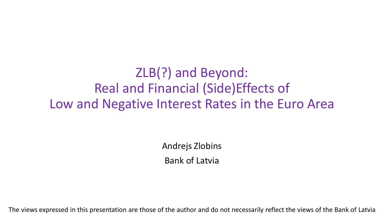ZLB(?) and Beyond: Real and Financial (Side)Effects of Low and Negative Interest Rates in the Euro Area

> Andrejs Zlobins Bank of Latvia

The views expressed in this presentation are those of the author and do not necessarily reflect the views of the Bank of Latvia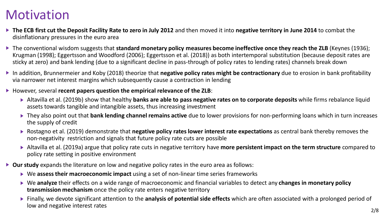### Motivation

- **The ECB first cut the Deposit Facility Rate to zero in July 2012** and then moved it into **negative territory in June 2014** to combat the disinflationary pressures in the euro area
- ▶ The conventional wisdom suggests that **standard monetary policy measures become ineffective once they reach the ZLB** (Keynes (1936); Krugman (1998); Eggertsson and Woodford (2006); Eggertsson et al. (2018)) as both intertemporal substitution (because deposit rates are sticky at zero) and bank lending (due to a significant decline in pass-through of policy rates to lending rates) channels break down
- ▶ In addition, Brunnermeier and Koby (2018) theorize that **negative policy rates might be contractionary** due to erosion in bank profitability via narrower net interest margins which subsequently cause a contraction in lending

### However, several **recent papers question the empirical relevance of the ZLB**:

- Altavilla et al. (2019b) show that healthy **banks are able to pass negative rates on to corporate deposits** while firms rebalance liquid assets towards tangible and intangible assets, thus increasing investment
- ▶ They also point out that **bank lending channel remains active** due to lower provisions for non-performing loans which in turn increases the supply of credit
- Rostagno et al. (2019) demonstrate that **negative policy rates lower interest rate expectations** as central bank thereby removes the non-negativity restriction and signals that future policy rate cuts are possible
- Altavilla et al. (2019a) argue that policy rate cuts in negative territory have **more persistent impact on the term structure** compared to policy rate setting in positive environment
- **Our study** expands the literature on low and negative policy rates in the euro area as follows:
	- ▶ We assess their macroeconomic impact using a set of non-linear time series frameworks
	- ▶ We analyze their effects on a wide range of macroeconomic and financial variables to detect any **changes in monetary policy transmission mechanism** once the policy rate enters negative territory
	- Finally, we devote significant attention to the **analysis of potential side effects** which are often associated with a prolonged period of low and negative interest rates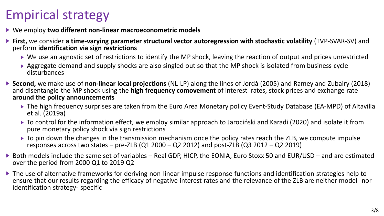# Empirical strategy

- We employ **two different non-linear macroeconometric models**
- **First,** we consider **a time-varying parameter structural vector autoregression with stochastic volatility** (TVP-SVAR-SV) and perform **identification via sign restrictions**
	- ▶ We use an agnostic set of restrictions to identify the MP shock, leaving the reaction of output and prices unrestricted
	- ▶ Aggregate demand and supply shocks are also singled out so that the MP shock is isolated from business cycle disturbances
- **Second,** we make use of **non-linear local projections** (NL-LP) along the lines of Jordà (2005) and Ramey and Zubairy (2018) and disentangle the MP shock using the **high frequency comovement** of interest rates, stock prices and exchange rate **around the policy announcements**
	- The high frequency surprises are taken from the Euro Area Monetary policy Event-Study Database (EA-MPD) of Altavilla et al. (2019a)
	- To control for the information effect, we employ similar approach to Jarociński and Karadi (2020) and isolate it from pure monetary policy shock via sign restrictions
	- $\triangleright$  To pin down the changes in the transmission mechanism once the policy rates reach the ZLB, we compute impulse responses across two states  $-$  pre-ZLB (Q1 2000  $-$  Q2 2012) and post-ZLB (Q3 2012  $-$  Q2 2019)
- ▶ Both models include the same set of variables Real GDP, HICP, the EONIA, Euro Stoxx 50 and EUR/USD and are estimated over the period from 2000 Q1 to 2019 Q2
- ▶ The use of alternative frameworks for deriving non-linear impulse response functions and identification strategies help to ensure that our results regarding the efficacy of negative interest rates and the relevance of the ZLB are neither model- nor identification strategy- specific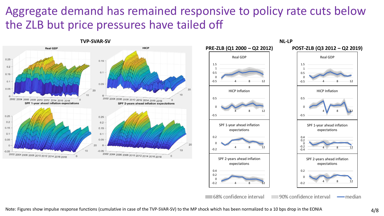### Aggregate demand has remained responsive to policy rate cuts below the ZLB but price pressures have tailed off

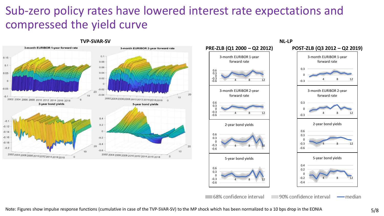### Sub-zero policy rates have lowered interest rate expectations and compressed the yield curve

10

10



#### **TVP-SVAR-SV NL-LP**



68% confidence interval

### 4 8 12 3-month EURIBOR 1-year forward rate 4 8 12 5-year bond yields 4 8 12 3-month EURIBOR 2-year forward rate 4 8 12 2-year bond yields

90% confidence interval

Note: Figures show impulse response functions (cumulative in case of the TVP-SVAR-SV) to the MP shock which has been normalized to a 10 bps drop in the EONIA 5/8

— median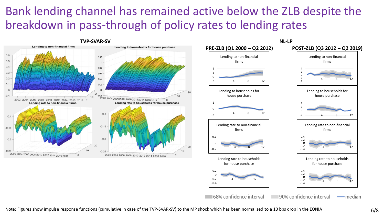### Bank lending channel has remained active below the ZLB despite the breakdown in pass-through of policy rates to lending rates

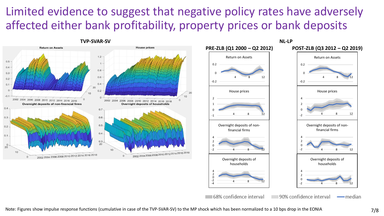### Limited evidence to suggest that negative policy rates have adversely affected either bank profitability, property prices or bank deposits